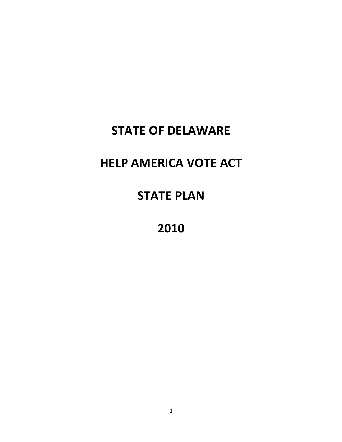## **STATE OF DELAWARE**

## **HELP AMERICA VOTE ACT**

## **STATE PLAN**

**2010**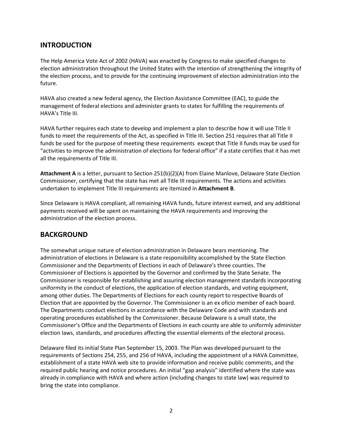## **INTRODUCTION**

The Help America Vote Act of 2002 (HAVA) was enacted by Congress to make specified changes to election administration throughout the United States with the intention of strengthening the integrity of the election process, and to provide for the continuing improvement of election administration into the future.

HAVA also created a new federal agency, the Election Assistance Committee (EAC), to guide the management of federal elections and administer grants to states for fulfilling the requirements of HAVA's Title III.

HAVA further requires each state to develop and implement a plan to describe how it will use Title II funds to meet the requirements of the Act, as specified in Title III. Section 251 requires that all Title II funds be used for the purpose of meeting these requirements except that Title II funds may be used for "activities to improve the administration of elections for federal office" if a state certifies that it has met all the requirements of Title III.

**Attachment A** is a letter, pursuant to Section 251(b)(2)(A) from Elaine Manlove, Delaware State Election Commissioner, certifying that the state has met all Title III requirements. The actions and activities undertaken to implement Title III requirements are itemized in **Attachment B**.

Since Delaware is HAVA compliant, all remaining HAVA funds, future interest earned, and any additional payments received will be spent on maintaining the HAVA requirements and improving the administration of the election process.

### **BACKGROUND**

The somewhat unique nature of election administration in Delaware bears mentioning. The administration of elections in Delaware is a state responsibility accomplished by the State Election Commissioner and the Departments of Elections in each of Delaware's three counties. The Commissioner of Elections is appointed by the Governor and confirmed by the State Senate. The Commissioner is responsible for establishing and assuring election management standards incorporating uniformity in the conduct of elections, the application of election standards, and voting equipment, among other duties. The Departments of Elections for each county report to respective Boards of Election that are appointed by the Governor. The Commissioner is an ex oficio member of each board. The Departments conduct elections in accordance with the Delaware Code and with standards and operating procedures established by the Commissioner. Because Delaware is a small state, the Commissioner's Office and the Departments of Elections in each county are able to uniformly administer election laws, standards, and procedures affecting the essential elements of the electoral process.

Delaware filed its initial State Plan September 15, 2003. The Plan was developed pursuant to the requirements of Sections 254, 255, and 256 of HAVA, including the appointment of a HAVA Committee, establishment of a state HAVA web site to provide information and receive public comments, and the required public hearing and notice procedures. An initial "gap analysis" identified where the state was already in compliance with HAVA and where action (including changes to state law) was required to bring the state into compliance.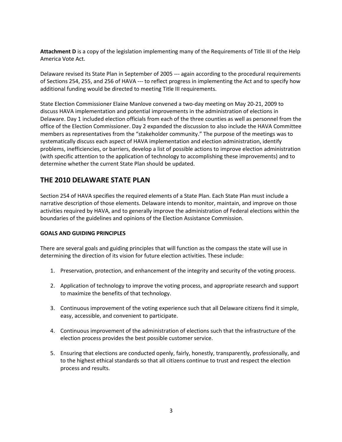**Attachment D** is a copy of the legislation implementing many of the Requirements of Title III of the Help America Vote Act.

Delaware revised its State Plan in September of 2005 --- again according to the procedural requirements of Sections 254, 255, and 256 of HAVA --- to reflect progress in implementing the Act and to specify how additional funding would be directed to meeting Title III requirements.

State Election Commissioner Elaine Manlove convened a two-day meeting on May 20-21, 2009 to discuss HAVA implementation and potential improvements in the administration of elections in Delaware. Day 1 included election officials from each of the three counties as well as personnel from the office of the Election Commissioner. Day 2 expanded the discussion to also include the HAVA Committee members as representatives from the "stakeholder community." The purpose of the meetings was to systematically discuss each aspect of HAVA implementation and election administration, identify problems, inefficiencies, or barriers, develop a list of possible actions to improve election administration (with specific attention to the application of technology to accomplishing these improvements) and to determine whether the current State Plan should be updated.

## **THE 2010 DELAWARE STATE PLAN**

Section 254 of HAVA specifies the required elements of a State Plan. Each State Plan must include a narrative description of those elements. Delaware intends to monitor, maintain, and improve on those activities required by HAVA, and to generally improve the administration of Federal elections within the boundaries of the guidelines and opinions of the Election Assistance Commission.

#### **GOALS AND GUIDING PRINCIPLES**

There are several goals and guiding principles that will function as the compass the state will use in determining the direction of its vision for future election activities. These include:

- 1. Preservation, protection, and enhancement of the integrity and security of the voting process.
- 2. Application of technology to improve the voting process, and appropriate research and support to maximize the benefits of that technology.
- 3. Continuous improvement of the voting experience such that all Delaware citizens find it simple, easy, accessible, and convenient to participate.
- 4. Continuous improvement of the administration of elections such that the infrastructure of the election process provides the best possible customer service.
- 5. Ensuring that elections are conducted openly, fairly, honestly, transparently, professionally, and to the highest ethical standards so that all citizens continue to trust and respect the election process and results.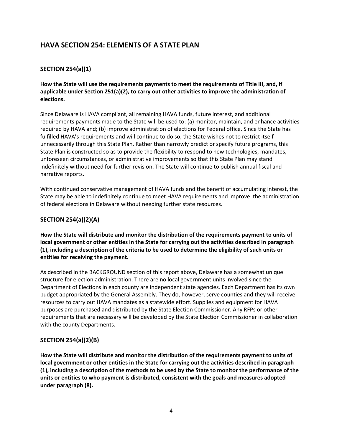## **HAVA SECTION 254: ELEMENTS OF A STATE PLAN**

### **SECTION 254(a)(1)**

**How the State will use the requirements payments to meet the requirements of Title III, and, if applicable under Section 251(a)(2), to carry out other activities to improve the administration of elections.**

Since Delaware is HAVA compliant, all remaining HAVA funds, future interest, and additional requirements payments made to the State will be used to: (a) monitor, maintain, and enhance activities required by HAVA and; (b) improve administration of elections for Federal office. Since the State has fulfilled HAVA's requirements and will continue to do so, the State wishes not to restrict itself unnecessarily through this State Plan. Rather than narrowly predict or specify future programs, this State Plan is constructed so as to provide the flexibility to respond to new technologies, mandates, unforeseen circumstances, or administrative improvements so that this State Plan may stand indefinitely without need for further revision. The State will continue to publish annual fiscal and narrative reports.

With continued conservative management of HAVA funds and the benefit of accumulating interest, the State may be able to indefinitely continue to meet HAVA requirements and improve the administration of federal elections in Delaware without needing further state resources.

#### **SECTION 254(a)(2)(A)**

**How the State will distribute and monitor the distribution of the requirements payment to units of local government or other entities in the State for carrying out the activities described in paragraph (1), including a description of the criteria to be used to determine the eligibility of such units or entities for receiving the payment.**

As described in the BACKGROUND section of this report above, Delaware has a somewhat unique structure for election administration. There are no local government units involved since the Department of Elections in each county are independent state agencies. Each Department has its own budget appropriated by the General Assembly. They do, however, serve counties and they will receive resources to carry out HAVA mandates as a statewide effort. Supplies and equipment for HAVA purposes are purchased and distributed by the State Election Commissioner. Any RFPs or other requirements that are necessary will be developed by the State Election Commissioner in collaboration with the county Departments.

#### **SECTION 254(a)(2)(B)**

**How the State will distribute and monitor the distribution of the requirements payment to units of local government or other entities in the State for carrying out the activities described in paragraph (1), including a description of the methods to be used by the State to monitor the performance of the units or entities to who payment is distributed, consistent with the goals and measures adopted under paragraph (8).**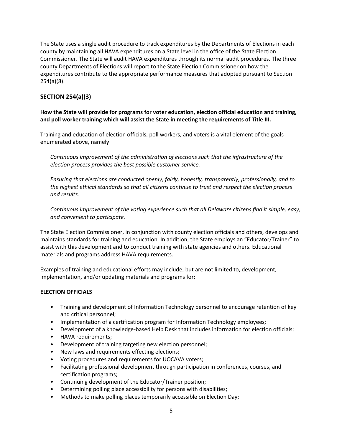The State uses a single audit procedure to track expenditures by the Departments of Elections in each county by maintaining all HAVA expenditures on a State level in the office of the State Election Commissioner. The State will audit HAVA expenditures through its normal audit procedures. The three county Departments of Elections will report to the State Election Commissioner on how the expenditures contribute to the appropriate performance measures that adopted pursuant to Section 254(a)(8).

### **SECTION 254(a)(3)**

**How the State will provide for programs for voter education, election official education and training, and poll worker training which will assist the State in meeting the requirements of Title III.**

Training and education of election officials, poll workers, and voters is a vital element of the goals enumerated above, namely:

*Continuous improvement of the administration of elections such that the infrastructure of the election process provides the best possible customer service.* 

*Ensuring that elections are conducted openly, fairly, honestly, transparently, professionally, and to the highest ethical standards so that all citizens continue to trust and respect the election process and results.*

*Continuous improvement of the voting experience such that all Delaware citizens find it simple, easy, and convenient to participate.*

The State Election Commissioner, in conjunction with county election officials and others, develops and maintains standards for training and education. In addition, the State employs an "Educator/Trainer" to assist with this development and to conduct training with state agencies and others. Educational materials and programs address HAVA requirements.

Examples of training and educational efforts may include, but are not limited to, development, implementation, and/or updating materials and programs for:

#### **ELECTION OFFICIALS**

- Training and development of Information Technology personnel to encourage retention of key and critical personnel;
- Implementation of a certification program for Information Technology employees;
- Development of a knowledge-based Help Desk that includes information for election officials;
- HAVA requirements;
- Development of training targeting new election personnel;
- New laws and requirements effecting elections;
- Voting procedures and requirements for UOCAVA voters;
- Facilitating professional development through participation in conferences, courses, and certification programs;
- Continuing development of the Educator/Trainer position;
- Determining polling place accessibility for persons with disabilities;
- Methods to make polling places temporarily accessible on Election Day;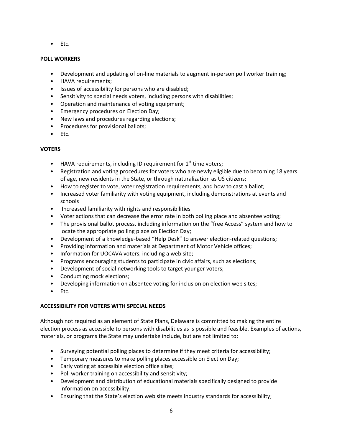• Etc.

#### **POLL WORKERS**

- Development and updating of on-line materials to augment in-person poll worker training;
- HAVA requirements;
- Issues of accessibility for persons who are disabled;
- Sensitivity to special needs voters, including persons with disabilities;
- Operation and maintenance of voting equipment;
- Emergency procedures on Election Day;
- New laws and procedures regarding elections;
- Procedures for provisional ballots;
- Etc.

#### **VOTERS**

- HAVA requirements, including ID requirement for  $1<sup>st</sup>$  time voters;
- Registration and voting procedures for voters who are newly eligible due to becoming 18 years of age, new residents in the State, or through naturalization as US citizens;
- How to register to vote, voter registration requirements, and how to cast a ballot;
- Increased voter familiarity with voting equipment, including demonstrations at events and schools
- Increased familiarity with rights and responsibilities
- Voter actions that can decrease the error rate in both polling place and absentee voting;
- The provisional ballot process, including information on the "free Access" system and how to locate the appropriate polling place on Election Day;
- Development of a knowledge-based "Help Desk" to answer election-related questions;
- Providing information and materials at Department of Motor Vehicle offices;
- Information for UOCAVA voters, including a web site;
- Programs encouraging students to participate in civic affairs, such as elections;
- Development of social networking tools to target younger voters;
- Conducting mock elections;
- Developing information on absentee voting for inclusion on election web sites;
- Etc.

#### **ACCESSIBILITY FOR VOTERS WITH SPECIAL NEEDS**

Although not required as an element of State Plans, Delaware is committed to making the entire election process as accessible to persons with disabilities as is possible and feasible. Examples of actions, materials, or programs the State may undertake include, but are not limited to:

- Surveying potential polling places to determine if they meet criteria for accessibility;
- Temporary measures to make polling places accessible on Election Day;
- Early voting at accessible election office sites;
- Poll worker training on accessibility and sensitivity;
- Development and distribution of educational materials specifically designed to provide information on accessibility;
- Ensuring that the State's election web site meets industry standards for accessibility;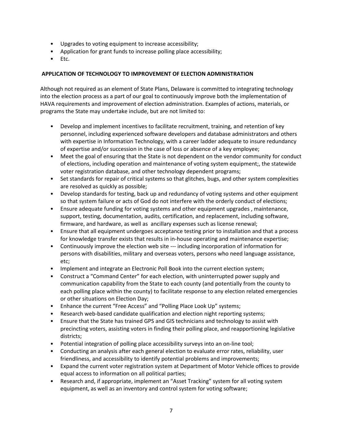- Upgrades to voting equipment to increase accessibility;
- Application for grant funds to increase polling place accessibility;
- Etc.

#### **APPLICATION OF TECHNOLOGY TO IMPROVEMENT OF ELECTION ADMINISTRATION**

Although not required as an element of State Plans, Delaware is committed to integrating technology into the election process as a part of our goal to continuously improve both the implementation of HAVA requirements and improvement of election administration. Examples of actions, materials, or programs the State may undertake include, but are not limited to:

- Develop and implement incentives to facilitate recruitment, training, and retention of key personnel, including experienced software developers and database administrators and others with expertise in Information Technology, with a career ladder adequate to insure redundancy of expertise and/or succession in the case of loss or absence of a key employee;
- Meet the goal of ensuring that the State is not dependent on the vendor community for conduct of elections, including operation and maintenance of voting system equipment;, the statewide voter registration database, and other technology dependent programs;
- Set standards for repair of critical systems so that glitches, bugs, and other system complexities are resolved as quickly as possible;
- Develop standards for testing, back up and redundancy of voting systems and other equipment so that system failure or acts of God do not interfere with the orderly conduct of elections;
- Ensure adequate funding for voting systems and other equipment upgrades , maintenance, support, testing, documentation, audits, certification, and replacement, including software, firmware, and hardware, as well as ancillary expenses such as license renewal;
- Ensure that all equipment undergoes acceptance testing prior to installation and that a process for knowledge transfer exists that results in in-house operating and maintenance expertise;
- Continuously improve the election web site --- including incorporation of information for persons with disabilities, military and overseas voters, persons who need language assistance, etc;
- Implement and integrate an Electronic Poll Book into the current election system;
- Construct a "Command Center" for each election, with uninterrupted power supply and communication capability from the State to each county (and potentially from the county to each polling place within the county) to facilitate response to any election related emergencies or other situations on Election Day;
- Enhance the current "Free Access" and "Polling Place Look Up" systems;
- Research web-based candidate qualification and election night reporting systems;
- Ensure that the State has trained GPS and GIS technicians and technology to assist with precincting voters, assisting voters in finding their polling place, and reapportioning legislative districts;
- Potential integration of polling place accessibility surveys into an on-line tool;
- Conducting an analysis after each general election to evaluate error rates, reliability, user friendliness, and accessibility to identify potential problems and improvements;
- Expand the current voter registration system at Department of Motor Vehicle offices to provide equal access to information on all political parties;
- Research and, if appropriate, implement an "Asset Tracking" system for all voting system equipment, as well as an inventory and control system for voting software;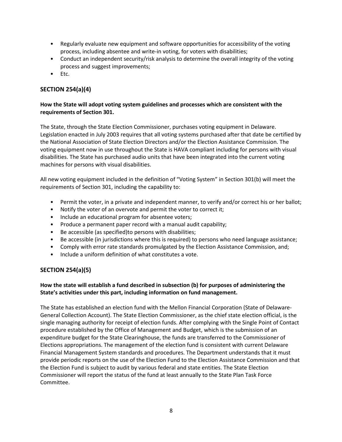- Regularly evaluate new equipment and software opportunities for accessibility of the voting process, including absentee and write-in voting, for voters with disabilities;
- Conduct an independent security/risk analysis to determine the overall integrity of the voting process and suggest improvements;
- Etc.

### **SECTION 254(a)(4)**

#### **How the State will adopt voting system guidelines and processes which are consistent with the requirements of Section 301.**

The State, through the State Election Commissioner, purchases voting equipment in Delaware. Legislation enacted in July 2003 requires that all voting systems purchased after that date be certified by the National Association of State Election Directors and/or the Election Assistance Commission. The voting equipment now in use throughout the State is HAVA compliant including for persons with visual disabilities. The State has purchased audio units that have been integrated into the current voting machines for persons with visual disabilities.

All new voting equipment included in the definition of "Voting System" in Section 301(b) will meet the requirements of Section 301, including the capability to:

- Permit the voter, in a private and independent manner, to verify and/or correct his or her ballot;
- Notify the voter of an overvote and permit the voter to correct it;
- Include an educational program for absentee voters;
- Produce a permanent paper record with a manual audit capability;
- Be accessible (as specified)to persons with disabilities;
- Be accessible (in jurisdictions where this is required) to persons who need language assistance;
- Comply with error rate standards promulgated by the Election Assistance Commission, and;
- Include a uniform definition of what constitutes a vote.

#### **SECTION 254(a)(5)**

#### **How the state will establish a fund described in subsection (b) for purposes of administering the State's activities under this part, including information on fund management.**

The State has established an election fund with the Mellon Financial Corporation (State of Delaware-General Collection Account). The State Election Commissioner, as the chief state election official, is the single managing authority for receipt of election funds. After complying with the Single Point of Contact procedure established by the Office of Management and Budget, which is the submission of an expenditure budget for the State Clearinghouse, the funds are transferred to the Commissioner of Elections appropriations. The management of the election fund is consistent with current Delaware Financial Management System standards and procedures. The Department understands that it must provide periodic reports on the use of the Election Fund to the Election Assistance Commission and that the Election Fund is subject to audit by various federal and state entities. The State Election Commissioner will report the status of the fund at least annually to the State Plan Task Force Committee.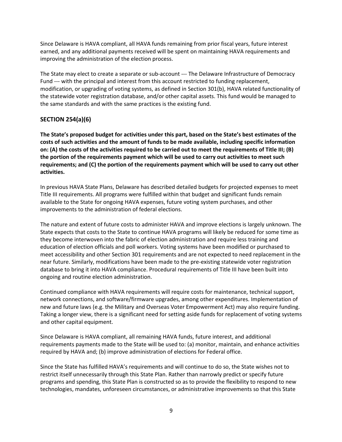Since Delaware is HAVA compliant, all HAVA funds remaining from prior fiscal years, future interest earned, and any additional payments received will be spent on maintaining HAVA requirements and improving the administration of the election process.

The State may elect to create a separate or sub-account --- The Delaware Infrastructure of Democracy Fund --- with the principal and interest from this account restricted to funding replacement, modification, or upgrading of voting systems, as defined in Section 301(b), HAVA related functionality of the statewide voter registration database, and/or other capital assets. This fund would be managed to the same standards and with the same practices is the existing fund.

#### **SECTION 254(a)(6)**

**The State's proposed budget for activities under this part, based on the State's best estimates of the costs of such activities and the amount of funds to be made available, including specific information on: (A) the costs of the activities required to be carried out to meet the requirements of Title III; (B) the portion of the requirements payment which will be used to carry out activities to meet such requirements; and (C) the portion of the requirements payment which will be used to carry out other activities.**

In previous HAVA State Plans, Delaware has described detailed budgets for projected expenses to meet Title III requirements. All programs were fulfilled within that budget and significant funds remain available to the State for ongoing HAVA expenses, future voting system purchases, and other improvements to the administration of federal elections.

The nature and extent of future costs to administer HAVA and improve elections is largely unknown. The State expects that costs to the State to continue HAVA programs will likely be reduced for some time as they become interwoven into the fabric of election administration and require less training and education of election officials and poll workers. Voting systems have been modified or purchased to meet accessibility and other Section 301 requirements and are not expected to need replacement in the near future. Similarly, modifications have been made to the pre-existing statewide voter registration database to bring it into HAVA compliance. Procedural requirements of Title III have been built into ongoing and routine election administration.

Continued compliance with HAVA requirements will require costs for maintenance, technical support, network connections, and software/firmware upgrades, among other expenditures. Implementation of new and future laws (e.g. the Military and Overseas Voter Empowerment Act) may also require funding. Taking a longer view, there is a significant need for setting aside funds for replacement of voting systems and other capital equipment.

Since Delaware is HAVA compliant, all remaining HAVA funds, future interest, and additional requirements payments made to the State will be used to: (a) monitor, maintain, and enhance activities required by HAVA and; (b) improve administration of elections for Federal office.

Since the State has fulfilled HAVA's requirements and will continue to do so, the State wishes not to restrict itself unnecessarily through this State Plan. Rather than narrowly predict or specify future programs and spending, this State Plan is constructed so as to provide the flexibility to respond to new technologies, mandates, unforeseen circumstances, or administrative improvements so that this State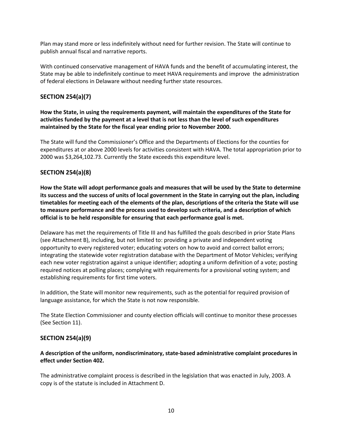Plan may stand more or less indefinitely without need for further revision. The State will continue to publish annual fiscal and narrative reports.

With continued conservative management of HAVA funds and the benefit of accumulating interest, the State may be able to indefinitely continue to meet HAVA requirements and improve the administration of federal elections in Delaware without needing further state resources.

#### **SECTION 254(a)(7)**

**How the State, in using the requirements payment, will maintain the expenditures of the State for activities funded by the payment at a level that is not less than the level of such expenditures maintained by the State for the fiscal year ending prior to November 2000.**

The State will fund the Commissioner's Office and the Departments of Elections for the counties for expenditures at or above 2000 levels for activities consistent with HAVA. The total appropriation prior to 2000 was \$3,264,102.73. Currently the State exceeds this expenditure level.

#### **SECTION 254(a)(8)**

**How the State will adopt performance goals and measures that will be used by the State to determine its success and the success of units of local government in the State in carrying out the plan, including timetables for meeting each of the elements of the plan, descriptions of the criteria the State will use to measure performance and the process used to develop such criteria, and a description of which official is to be held responsible for ensuring that each performance goal is met.**

Delaware has met the requirements of Title III and has fulfilled the goals described in prior State Plans (see Attachment B), including, but not limited to: providing a private and independent voting opportunity to every registered voter; educating voters on how to avoid and correct ballot errors; integrating the statewide voter registration database with the Department of Motor Vehicles; verifying each new voter registration against a unique identifier; adopting a uniform definition of a vote; posting required notices at polling places; complying with requirements for a provisional voting system; and establishing requirements for first time voters.

In addition, the State will monitor new requirements, such as the potential for required provision of language assistance, for which the State is not now responsible.

The State Election Commissioner and county election officials will continue to monitor these processes (See Section 11).

#### **SECTION 254(a)(9)**

#### **A description of the uniform, nondiscriminatory, state-based administrative complaint procedures in effect under Section 402.**

The administrative complaint process is described in the legislation that was enacted in July, 2003. A copy is of the statute is included in Attachment D.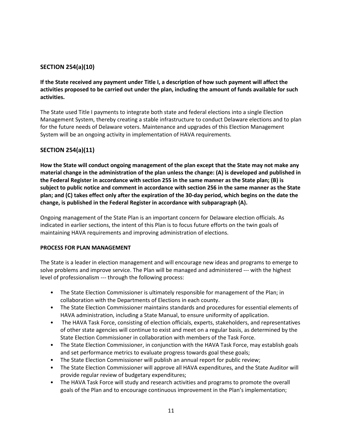#### **SECTION 254(a)(10)**

**If the State received any payment under Title I, a description of how such payment will affect the activities proposed to be carried out under the plan, including the amount of funds available for such activities.**

The State used Title I payments to integrate both state and federal elections into a single Election Management System, thereby creating a stable infrastructure to conduct Delaware elections and to plan for the future needs of Delaware voters. Maintenance and upgrades of this Election Management System will be an ongoing activity in implementation of HAVA requirements.

#### **SECTION 254(a)(11)**

**How the State will conduct ongoing management of the plan except that the State may not make any material change in the administration of the plan unless the change: (A) is developed and published in the Federal Register in accordance with section 255 in the same manner as the State plan; (B) is subject to public notice and comment in accordance with section 256 in the same manner as the State plan; and (C) takes effect only after the expiration of the 30-day period, which begins on the date the change, is published in the Federal Register in accordance with subparagraph (A).**

Ongoing management of the State Plan is an important concern for Delaware election officials. As indicated in earlier sections, the intent of this Plan is to focus future efforts on the twin goals of maintaining HAVA requirements and improving administration of elections.

#### **PROCESS FOR PLAN MANAGEMENT**

The State is a leader in election management and will encourage new ideas and programs to emerge to solve problems and improve service. The Plan will be managed and administered --- with the highest level of professionalism --- through the following process:

- The State Election Commissioner is ultimately responsible for management of the Plan; in collaboration with the Departments of Elections in each county.
- The State Election Commissioner maintains standards and procedures for essential elements of HAVA administration, including a State Manual, to ensure uniformity of application.
- The HAVA Task Force, consisting of election officials, experts, stakeholders, and representatives of other state agencies will continue to exist and meet on a regular basis, as determined by the State Election Commissioner in collaboration with members of the Task Force.
- The State Election Commissioner, in conjunction with the HAVA Task Force, may establish goals and set performance metrics to evaluate progress towards goal these goals;
- The State Election Commissioner will publish an annual report for public review;
- The State Election Commissioner will approve all HAVA expenditures, and the State Auditor will provide regular review of budgetary expenditures;
- The HAVA Task Force will study and research activities and programs to promote the overall goals of the Plan and to encourage continuous improvement in the Plan's implementation;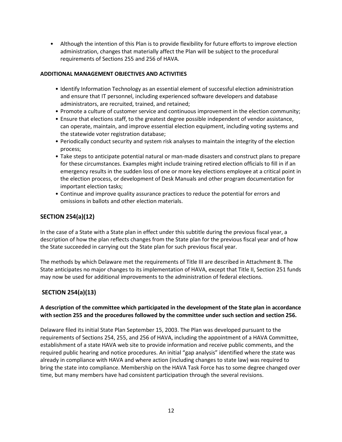• Although the intention of this Plan is to provide flexibility for future efforts to improve election administration, changes that materially affect the Plan will be subject to the procedural requirements of Sections 255 and 256 of HAVA.

#### **ADDITIONAL MANAGEMENT OBJECTIVES AND ACTIVITIES**

- Identify Information Technology as an essential element of successful election administration and ensure that IT personnel, including experienced software developers and database administrators, are recruited, trained, and retained;
- Promote a culture of customer service and continuous improvement in the election community;
- Ensure that elections staff, to the greatest degree possible independent of vendor assistance, can operate, maintain, and improve essential election equipment, including voting systems and the statewide voter registration database;
- Periodically conduct security and system risk analyses to maintain the integrity of the election process;
- Take steps to anticipate potential natural or man-made disasters and construct plans to prepare for these circumstances. Examples might include training retired election officials to fill in if an emergency results in the sudden loss of one or more key elections employee at a critical point in the election process, or development of Desk Manuals and other program documentation for important election tasks;
- Continue and improve quality assurance practices to reduce the potential for errors and omissions in ballots and other election materials.

#### **SECTION 254(a)(12)**

In the case of a State with a State plan in effect under this subtitle during the previous fiscal year, a description of how the plan reflects changes from the State plan for the previous fiscal year and of how the State succeeded in carrying out the State plan for such previous fiscal year.

The methods by which Delaware met the requirements of Title III are described in Attachment B. The State anticipates no major changes to its implementation of HAVA, except that Title II, Section 251 funds may now be used for additional improvements to the administration of federal elections.

### **SECTION 254(a)(13)**

#### **A description of the committee which participated in the development of the State plan in accordance with section 255 and the procedures followed by the committee under such section and section 256.**

Delaware filed its initial State Plan September 15, 2003. The Plan was developed pursuant to the requirements of Sections 254, 255, and 256 of HAVA, including the appointment of a HAVA Committee, establishment of a state HAVA web site to provide information and receive public comments, and the required public hearing and notice procedures. An initial "gap analysis" identified where the state was already in compliance with HAVA and where action (including changes to state law) was required to bring the state into compliance. Membership on the HAVA Task Force has to some degree changed over time, but many members have had consistent participation through the several revisions.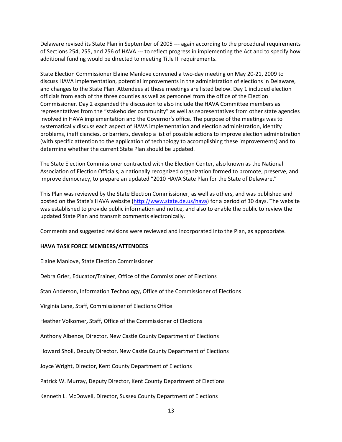Delaware revised its State Plan in September of 2005 --- again according to the procedural requirements of Sections 254, 255, and 256 of HAVA --- to reflect progress in implementing the Act and to specify how additional funding would be directed to meeting Title III requirements.

State Election Commissioner Elaine Manlove convened a two-day meeting on May 20-21, 2009 to discuss HAVA implementation, potential improvements in the administration of elections in Delaware, and changes to the State Plan. Attendees at these meetings are listed below. Day 1 included election officials from each of the three counties as well as personnel from the office of the Election Commissioner. Day 2 expanded the discussion to also include the HAVA Committee members as representatives from the "stakeholder community" as well as representatives from other state agencies involved in HAVA implementation and the Governor's office. The purpose of the meetings was to systematically discuss each aspect of HAVA implementation and election administration, identify problems, inefficiencies, or barriers, develop a list of possible actions to improve election administration (with specific attention to the application of technology to accomplishing these improvements) and to determine whether the current State Plan should be updated.

The State Election Commissioner contracted with the Election Center, also known as the National Association of Election Officials, a nationally recognized organization formed to promote, preserve, and improve democracy, to prepare an updated "2010 HAVA State Plan for the State of Delaware."

This Plan was reviewed by the State Election Commissioner, as well as others, and was published and posted on the State's HAVA website [\(http://www.state.de.us/hava\)](http://www.state.de.us/hava) for a period of 30 days. The website was established to provide public information and notice, and also to enable the public to review the updated State Plan and transmit comments electronically.

Comments and suggested revisions were reviewed and incorporated into the Plan, as appropriate.

#### **HAVA TASK FORCE MEMBERS/ATTENDEES**

Elaine Manlove, State Election Commissioner

Debra Grier, Educator/Trainer, Office of the Commissioner of Elections

Stan Anderson, Information Technology, Office of the Commissioner of Elections

Virginia Lane, Staff, Commissioner of Elections Office

Heather Volkomer**,** Staff, Office of the Commissioner of Elections

Anthony Albence, Director, New Castle County Department of Elections

Howard Sholl, Deputy Director, New Castle County Department of Elections

Joyce Wright, Director, Kent County Department of Elections

Patrick W. Murray, Deputy Director, Kent County Department of Elections

Kenneth L. McDowell, Director, Sussex County Department of Elections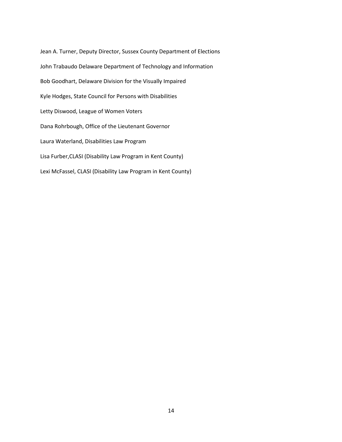Jean A. Turner, Deputy Director, Sussex County Department of Elections John Trabaudo Delaware Department of Technology and Information Bob Goodhart, Delaware Division for the Visually Impaired Kyle Hodges, State Council for Persons with Disabilities Letty Diswood, League of Women Voters Dana Rohrbough, Office of the Lieutenant Governor Laura Waterland, Disabilities Law Program Lisa Furber,CLASI (Disability Law Program in Kent County) Lexi McFassel, CLASI (Disability Law Program in Kent County)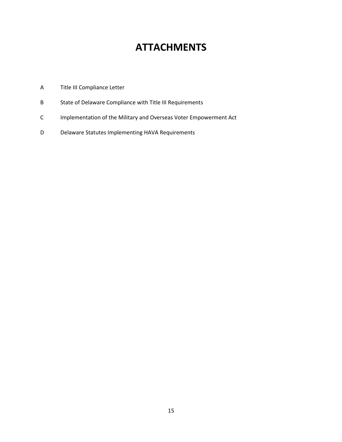## **ATTACHMENTS**

- A Title III Compliance Letter
- B State of Delaware Compliance with Title III Requirements
- C Implementation of the Military and Overseas Voter Empowerment Act
- D Delaware Statutes Implementing HAVA Requirements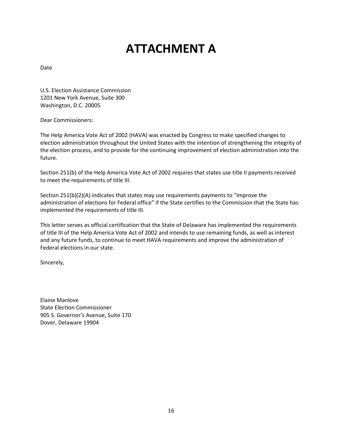# **ATTACHMENT A**

Date

U.S. Election Assistance Commission 1201 New York Avenue, Suite 300 Washington, D.C. 20005

Dear Commissioners:

The Help America Vote Act of 2002 (HAVA) was enacted by Congress to make specified changes to election administration throughout the United States with the intention of strengthening the integrity of the election process, and to provide for the continuing improvement of election administration into the future.

Section 251(b) of the Help America Vote Act of 2002 requires that states use title II payments received to meet the requirements of title III.

Section 251(b)(2)(A) indicates that states may use requirements payments to "improve the administration of elections for Federal office" if the State certifies to the Commission that the State has implemented the requirements of title III.

This letter serves as official certification that the State of Delaware has implemented the requirements of title III of the Help America Vote Act of 2002 and intends to use remaining funds, as well as interest and any future funds, to continue to meet HAVA requirements and improve the administration of Federal elections in our state.

Sincerely,

Elaine Manlove State Election Commissioner 905 S. Governor's Avenue, Suite 170 Dover, Delaware 19904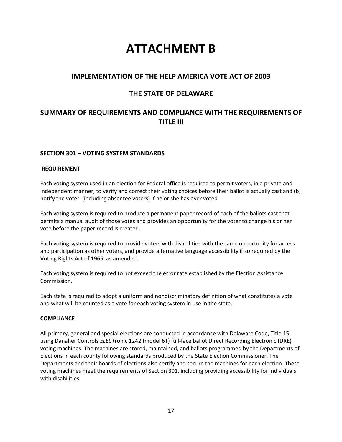## **ATTACHMENT B**

## **IMPLEMENTATION OF THE HELP AMERICA VOTE ACT OF 2003**

## **THE STATE OF DELAWARE**

## **SUMMARY OF REQUIREMENTS AND COMPLIANCE WITH THE REQUIREMENTS OF TITLE III**

#### **SECTION 301 – VOTING SYSTEM STANDARDS**

#### **REQUIREMENT**

Each voting system used in an election for Federal office is required to permit voters, in a private and independent manner, to verify and correct their voting choices before their ballot is actually cast and (b) notify the voter (including absentee voters) if he or she has over voted.

Each voting system is required to produce a permanent paper record of each of the ballots cast that permits a manual audit of those votes and provides an opportunity for the voter to change his or her vote before the paper record is created.

Each voting system is required to provide voters with disabilities with the same opportunity for access and participation as other voters, and provide alternative language accessibility if so required by the Voting Rights Act of 1965, as amended.

Each voting system is required to not exceed the error rate established by the Election Assistance Commission.

Each state is required to adopt a uniform and nondiscriminatory definition of what constitutes a vote and what will be counted as a vote for each voting system in use in the state.

#### **COMPLIANCE**

All primary, general and special elections are conducted in accordance with Delaware Code, Title 15, using Danaher Controls *ELECT*ronic 1242 (model 6T) full-face ballot Direct Recording Electronic (DRE) voting machines. The machines are stored, maintained, and ballots programmed by the Departments of Elections in each county following standards produced by the State Election Commissioner. The Departments and their boards of elections also certify and secure the machines for each election. These voting machines meet the requirements of Section 301, including providing accessibility for individuals with disabilities.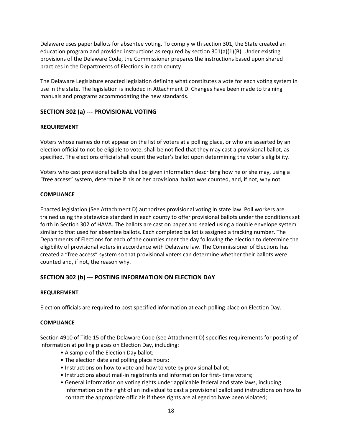Delaware uses paper ballots for absentee voting. To comply with section 301, the State created an education program and provided instructions as required by section  $301(a)(1)(B)$ . Under existing provisions of the Delaware Code, the Commissioner prepares the instructions based upon shared practices in the Departments of Elections in each county.

The Delaware Legislature enacted legislation defining what constitutes a vote for each voting system in use in the state. The legislation is included in Attachment D. Changes have been made to training manuals and programs accommodating the new standards.

#### **SECTION 302 (a) --- PROVISIONAL VOTING**

#### **REQUIREMENT**

Voters whose names do not appear on the list of voters at a polling place, or who are asserted by an election official to not be eligible to vote, shall be notified that they may cast a provisional ballot, as specified. The elections official shall count the voter's ballot upon determining the voter's eligibility.

Voters who cast provisional ballots shall be given information describing how he or she may, using a "free access" system, determine if his or her provisional ballot was counted, and, if not, why not.

#### **COMPLIANCE**

Enacted legislation (See Attachment D) authorizes provisional voting in state law. Poll workers are trained using the statewide standard in each county to offer provisional ballots under the conditions set forth in Section 302 of HAVA. The ballots are cast on paper and sealed using a double envelope system similar to that used for absentee ballots. Each completed ballot is assigned a tracking number. The Departments of Elections for each of the counties meet the day following the election to determine the eligibility of provisional voters in accordance with Delaware law. The Commissioner of Elections has created a "free access" system so that provisional voters can determine whether their ballots were counted and, if not, the reason why.

#### **SECTION 302 (b) --- POSTING INFORMATION ON ELECTION DAY**

#### **REQUIREMENT**

Election officials are required to post specified information at each polling place on Election Day.

#### **COMPLIANCE**

Section 4910 of Title 15 of the Delaware Code (see Attachment D) specifies requirements for posting of information at polling places on Election Day, including:

- A sample of the Election Day ballot;
- The election date and polling place hours;
- Instructions on how to vote and how to vote by provisional ballot;
- Instructions about mail-in registrants and information for first- time voters;
- General information on voting rights under applicable federal and state laws, including information on the right of an individual to cast a provisional ballot and instructions on how to contact the appropriate officials if these rights are alleged to have been violated;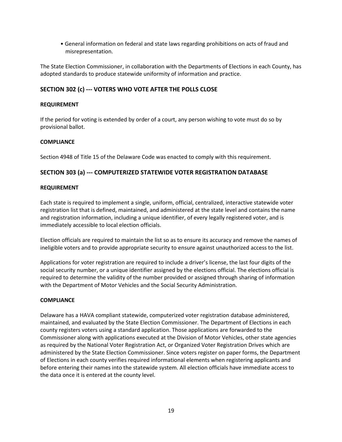• General information on federal and state laws regarding prohibitions on acts of fraud and misrepresentation.

The State Election Commissioner, in collaboration with the Departments of Elections in each County, has adopted standards to produce statewide uniformity of information and practice.

#### **SECTION 302 (c) --- VOTERS WHO VOTE AFTER THE POLLS CLOSE**

#### **REQUIREMENT**

If the period for voting is extended by order of a court, any person wishing to vote must do so by provisional ballot.

#### **COMPLIANCE**

Section 4948 of Title 15 of the Delaware Code was enacted to comply with this requirement.

#### **SECTION 303 (a) --- COMPUTERIZED STATEWIDE VOTER REGISTRATION DATABASE**

#### **REQUIREMENT**

Each state is required to implement a single, uniform, official, centralized, interactive statewide voter registration list that is defined, maintained, and administered at the state level and contains the name and registration information, including a unique identifier, of every legally registered voter, and is immediately accessible to local election officials.

Election officials are required to maintain the list so as to ensure its accuracy and remove the names of ineligible voters and to provide appropriate security to ensure against unauthorized access to the list.

Applications for voter registration are required to include a driver's license, the last four digits of the social security number, or a unique identifier assigned by the elections official. The elections official is required to determine the validity of the number provided or assigned through sharing of information with the Department of Motor Vehicles and the Social Security Administration.

#### **COMPLIANCE**

Delaware has a HAVA compliant statewide, computerized voter registration database administered, maintained, and evaluated by the State Election Commissioner. The Department of Elections in each county registers voters using a standard application. Those applications are forwarded to the Commissioner along with applications executed at the Division of Motor Vehicles, other state agencies as required by the National Voter Registration Act, or Organized Voter Registration Drives which are administered by the State Election Commissioner. Since voters register on paper forms, the Department of Elections in each county verifies required informational elements when registering applicants and before entering their names into the statewide system. All election officials have immediate access to the data once it is entered at the county level.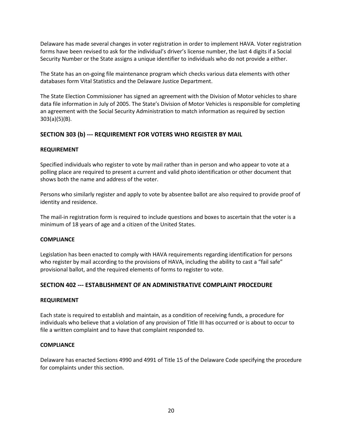Delaware has made several changes in voter registration in order to implement HAVA. Voter registration forms have been revised to ask for the individual's driver's license number, the last 4 digits if a Social Security Number or the State assigns a unique identifier to individuals who do not provide a either.

The State has an on-going file maintenance program which checks various data elements with other databases form Vital Statistics and the Delaware Justice Department.

The State Election Commissioner has signed an agreement with the Division of Motor vehicles to share data file information in July of 2005. The State's Division of Motor Vehicles is responsible for completing an agreement with the Social Security Administration to match information as required by section 303(a)(5)(B).

#### **SECTION 303 (b) --- REQUIREMENT FOR VOTERS WHO REGISTER BY MAIL**

#### **REQUIREMENT**

Specified individuals who register to vote by mail rather than in person and who appear to vote at a polling place are required to present a current and valid photo identification or other document that shows both the name and address of the voter.

Persons who similarly register and apply to vote by absentee ballot are also required to provide proof of identity and residence.

The mail-in registration form is required to include questions and boxes to ascertain that the voter is a minimum of 18 years of age and a citizen of the United States.

#### **COMPLIANCE**

Legislation has been enacted to comply with HAVA requirements regarding identification for persons who register by mail according to the provisions of HAVA, including the ability to cast a "fail safe" provisional ballot, and the required elements of forms to register to vote.

#### **SECTION 402 --- ESTABLISHMENT OF AN ADMINISTRATIVE COMPLAINT PROCEDURE**

#### **REQUIREMENT**

Each state is required to establish and maintain, as a condition of receiving funds, a procedure for individuals who believe that a violation of any provision of Title III has occurred or is about to occur to file a written complaint and to have that complaint responded to.

#### **COMPLIANCE**

Delaware has enacted Sections 4990 and 4991 of Title 15 of the Delaware Code specifying the procedure for complaints under this section.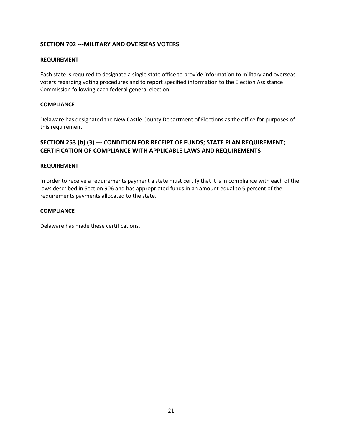#### **SECTION 702 ---MILITARY AND OVERSEAS VOTERS**

#### **REQUIREMENT**

Each state is required to designate a single state office to provide information to military and overseas voters regarding voting procedures and to report specified information to the Election Assistance Commission following each federal general election.

#### **COMPLIANCE**

Delaware has designated the New Castle County Department of Elections as the office for purposes of this requirement.

#### **SECTION 253 (b) (3) --- CONDITION FOR RECEIPT OF FUNDS; STATE PLAN REQUIREMENT; CERTIFICATION OF COMPLIANCE WITH APPLICABLE LAWS AND REQUIREMENTS**

#### **REQUIREMENT**

In order to receive a requirements payment a state must certify that it is in compliance with each of the laws described in Section 906 and has appropriated funds in an amount equal to 5 percent of the requirements payments allocated to the state.

#### **COMPLIANCE**

Delaware has made these certifications.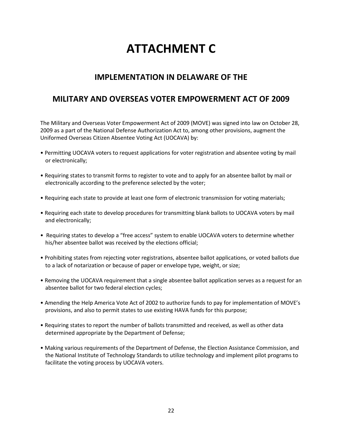# **ATTACHMENT C**

## **IMPLEMENTATION IN DELAWARE OF THE**

## **MILITARY AND OVERSEAS VOTER EMPOWERMENT ACT OF 2009**

The Military and Overseas Voter Empowerment Act of 2009 (MOVE) was signed into law on October 28, 2009 as a part of the National Defense Authorization Act to, among other provisions, augment the Uniformed Overseas Citizen Absentee Voting Act (UOCAVA) by:

- Permitting UOCAVA voters to request applications for voter registration and absentee voting by mail or electronically;
- Requiring states to transmit forms to register to vote and to apply for an absentee ballot by mail or electronically according to the preference selected by the voter;
- Requiring each state to provide at least one form of electronic transmission for voting materials;
- Requiring each state to develop procedures for transmitting blank ballots to UOCAVA voters by mail and electronically;
- Requiring states to develop a "free access" system to enable UOCAVA voters to determine whether his/her absentee ballot was received by the elections official;
- Prohibiting states from rejecting voter registrations, absentee ballot applications, or voted ballots due to a lack of notarization or because of paper or envelope type, weight, or size;
- Removing the UOCAVA requirement that a single absentee ballot application serves as a request for an absentee ballot for two federal election cycles;
- Amending the Help America Vote Act of 2002 to authorize funds to pay for implementation of MOVE's provisions, and also to permit states to use existing HAVA funds for this purpose;
- Requiring states to report the number of ballots transmitted and received, as well as other data determined appropriate by the Department of Defense;
- Making various requirements of the Department of Defense, the Election Assistance Commission, and the National Institute of Technology Standards to utilize technology and implement pilot programs to facilitate the voting process by UOCAVA voters.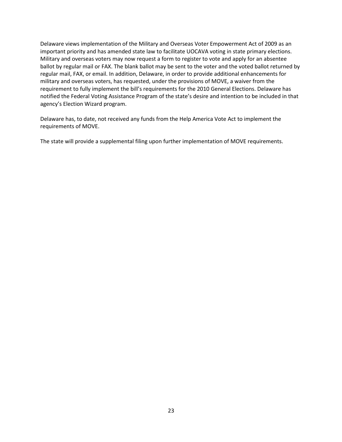Delaware views implementation of the Military and Overseas Voter Empowerment Act of 2009 as an important priority and has amended state law to facilitate UOCAVA voting in state primary elections. Military and overseas voters may now request a form to register to vote and apply for an absentee ballot by regular mail or FAX. The blank ballot may be sent to the voter and the voted ballot returned by regular mail, FAX, or email. In addition, Delaware, in order to provide additional enhancements for military and overseas voters, has requested, under the provisions of MOVE, a waiver from the requirement to fully implement the bill's requirements for the 2010 General Elections. Delaware has notified the Federal Voting Assistance Program of the state's desire and intention to be included in that agency's Election Wizard program.

Delaware has, to date, not received any funds from the Help America Vote Act to implement the requirements of MOVE.

The state will provide a supplemental filing upon further implementation of MOVE requirements.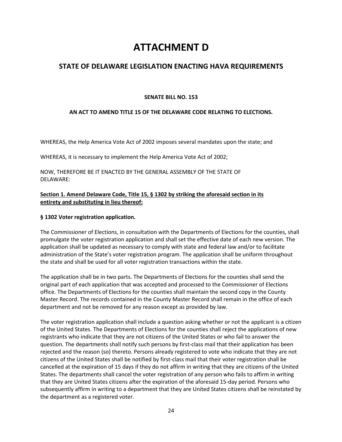## **ATTACHMENT D**

## **STATE OF DELAWARE LEGISLATION ENACTING HAVA REQUIREMENTS**

#### **SENATE BILL NO. 153**

#### **AN ACT TO AMEND TITLE 15 OF THE DELAWARE CODE RELATING TO ELECTIONS.**

WHEREAS, the Help America Vote Act of 2002 imposes several mandates upon the state; and

WHEREAS, it is necessary to implement the Help America Vote Act of 2002;

NOW, THEREFORE BE IT ENACTED BY THE GENERAL ASSEMBLY OF THE STATE OF DELAWARE:

#### **Section 1. Amend Delaware Code, Title 15, § 1302 by striking the aforesaid section in its entirety and substituting in lieu thereof:**

#### **§ 1302 Voter registration application.**

The Commissioner of Elections, in consultation with the Departments of Elections for the counties, shall promulgate the voter registration application and shall set the effective date of each new version. The application shall be updated as necessary to comply with state and federal law and/or to facilitate administration of the State's voter registration program. The application shall be uniform throughout the state and shall be used for all voter registration transactions within the state.

The application shall be in two parts. The Departments of Elections for the counties shall send the original part of each application that was accepted and processed to the Commissioner of Elections office. The Departments of Elections for the counties shall maintain the second copy in the County Master Record. The records contained in the County Master Record shall remain in the office of each department and not be removed for any reason except as provided by law.

The voter registration application shall include a question asking whether or not the applicant is a citizen of the United States. The Departments of Elections for the counties shall reject the applications of new registrants who indicate that they are not citizens of the United States or who fail to answer the question. The departments shall notify such persons by first-class mail that their application has been rejected and the reason (so) thereto. Persons already registered to vote who indicate that they are not citizens of the United States shall be notified by first-class mail that their voter registration shall be cancelled at the expiration of 15 days if they do not affirm in writing that they are citizens of the United States. The departments shall cancel the voter registration of any person who fails to affirm in writing that they are United States citizens after the expiration of the aforesaid 15-day period. Persons who subsequently affirm in writing to a department that they are United States citizens shall be reinstated by the department as a registered voter.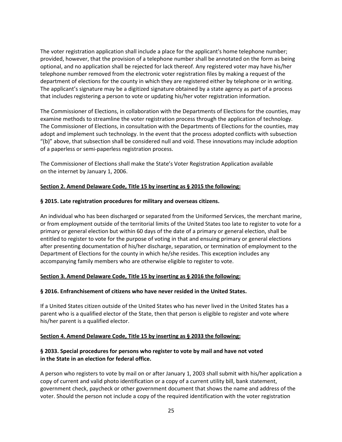The voter registration application shall include a place for the applicant's home telephone number; provided, however, that the provision of a telephone number shall be annotated on the form as being optional, and no application shall be rejected for lack thereof. Any registered voter may have his/her telephone number removed from the electronic voter registration files by making a request of the department of elections for the county in which they are registered either by telephone or in writing. The applicant's signature may be a digitized signature obtained by a state agency as part of a process that includes registering a person to vote or updating his/her voter registration information.

The Commissioner of Elections, in collaboration with the Departments of Elections for the counties, may examine methods to streamline the voter registration process through the application of technology. The Commissioner of Elections, in consultation with the Departments of Elections for the counties, may adopt and implement such technology. In the event that the process adopted conflicts with subsection "(b)" above, that subsection shall be considered null and void. These innovations may include adoption of a paperless or semi-paperless registration process.

The Commissioner of Elections shall make the State's Voter Registration Application available on the internet by January 1, 2006.

#### **Section 2. Amend Delaware Code, Title 15 by inserting as § 2015 the following:**

#### **§ 2015. Late registration procedures for military and overseas citizens.**

An individual who has been discharged or separated from the Uniformed Services, the merchant marine, or from employment outside of the territorial limits of the United States too late to register to vote for a primary or general election but within 60 days of the date of a primary or general election, shall be entitled to register to vote for the purpose of voting in that and ensuing primary or general elections after presenting documentation of his/her discharge, separation, or termination of employment to the Department of Elections for the county in which he/she resides. This exception includes any accompanying family members who are otherwise eligible to register to vote.

#### **Section 3. Amend Delaware Code, Title 15 by inserting as § 2016 the following:**

#### **§ 2016. Enfranchisement of citizens who have never resided in the United States.**

If a United States citizen outside of the United States who has never lived in the United States has a parent who is a qualified elector of the State, then that person is eligible to register and vote where his/her parent is a qualified elector.

#### **Section 4. Amend Delaware Code, Title 15 by inserting as § 2033 the following:**

#### **§ 2033. Special procedures for persons who register to vote by mail and have not voted in the State in an election for federal office.**

A person who registers to vote by mail on or after January 1, 2003 shall submit with his/her application a copy of current and valid photo identification or a copy of a current utility bill, bank statement, government check, paycheck or other government document that shows the name and address of the voter. Should the person not include a copy of the required identification with the voter registration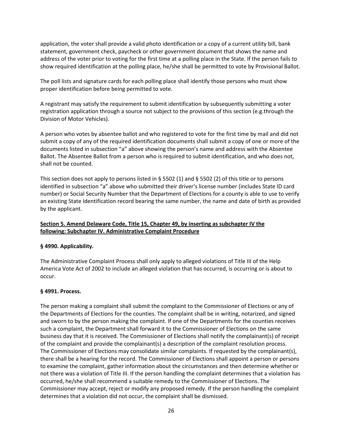application, the voter shall provide a valid photo identification or a copy of a current utility bill, bank statement, government check, paycheck or other government document that shows the name and address of the voter prior to voting for the first time at a polling place in the State. If the person fails to show required identification at the polling place, he/she shall be permitted to vote by Provisional Ballot.

The poll lists and signature cards for each polling place shall identify those persons who must show proper identification before being permitted to vote.

A registrant may satisfy the requirement to submit identification by subsequently submitting a voter registration application through a source not subject to the provisions of this section (e.g.through the Division of Motor Vehicles).

A person who votes by absentee ballot and who registered to vote for the first time by mail and did not submit a copy of any of the required identification documents shall submit a copy of one or more of the documents listed in subsection "a" above showing the person's name and address with the Absentee Ballot. The Absentee Ballot from a person who is required to submit identification, and who does not, shall not be counted.

This section does not apply to persons listed in § 5502 (1) and § 5502 (2) of this title or to persons identified in subsection "a" above who submitted their driver's license number (includes State ID card number) or Social Security Number that the Department of Elections for a county is able to use to verify an existing State Identification record bearing the same number, the name and date of birth as provided by the applicant.

#### **Section 5. Amend Delaware Code, Title 15, Chapter 49, by inserting as subchapter IV the following: Subchapter IV. Administrative Complaint Procedure**

#### **§ 4990. Applicability.**

The Administrative Complaint Process shall only apply to alleged violations of Title III of the Help America Vote Act of 2002 to include an alleged violation that has occurred, is occurring or is about to occur.

#### **§ 4991. Process.**

The person making a complaint shall submit the complaint to the Commissioner of Elections or any of the Departments of Elections for the counties. The complaint shall be in writing, notarized, and signed and sworn to by the person making the complaint. If one of the Departments for the counties receives such a complaint, the Department shall forward it to the Commissioner of Elections on the same business day that it is received. The Commissioner of Elections shall notify the complainant(s) of receipt of the complaint and provide the complainant(s) a description of the complaint resolution process. The Commissioner of Elections may consolidate similar complaints. If requested by the complainant(s), there shall be a hearing for the record. The Commissioner of Elections shall appoint a person or persons to examine the complaint, gather information about the circumstances and then determine whether or not there was a violation of Title III. If the person handling the complaint determines that a violation has occurred, he/she shall recommend a suitable remedy to the Commissioner of Elections. The Commissioner may accept, reject or modify any proposed remedy. If the person handling the complaint determines that a violation did not occur, the complaint shall be dismissed.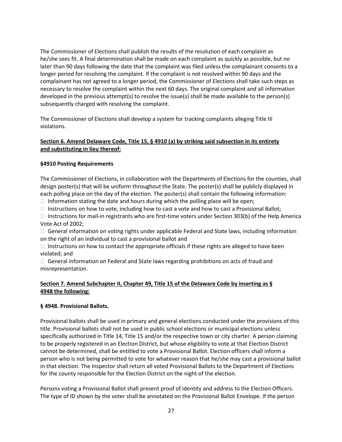The Commissioner of Elections shall publish the results of the resolution of each complaint as he/she sees fit. A final determination shall be made on each complaint as quickly as possible, but no later than 90 days following the date that the complaint was filed unless the complainant consents to a longer period for resolving the complaint. If the complaint is not resolved within 90 days and the complainant has not agreed to a longer period, the Commissioner of Elections shall take such steps as necessary to resolve the complaint within the next 60 days. The original complaint and all information developed in the previous attempt(s) to resolve the issue(s) shall be made available to the person(s) subsequently charged with resolving the complaint.

The Commissioner of Elections shall develop a system for tracking complaints alleging Title III violations.

#### **Section 6. Amend Delaware Code, Title 15, § 4910 (a) by striking said subsection in its entirety and substituting in lieu thereof:**

#### **§4910 Posting Requirements**

The Commissioner of Elections, in collaboration with the Departments of Elections for the counties, shall design poster(s) that will be uniform throughout the State. The poster(s) shall be publicly displayed in each polling place on the day of the election. The poster(s) shall contain the following information:

 $\Box$  Information stating the date and hours during which the polling place will be open;

 $\Box$  Instructions on how to vote, including how to cast a vote and how to cast a Provisional Ballot;

 $\Box$  Instructions for mail-in registrants who are first-time voters under Section 303(b) of the Help America Vote Act of 2002;

 $\Box$  General information on voting rights under applicable Federal and State laws, including information on the right of an individual to cast a provisional ballot and

 $\Box$  Instructions on how to contact the appropriate officials if these rights are alleged to have been violated; and

 $\Box$  General information on Federal and State laws regarding prohibitions on acts of fraud and misrepresentation.

#### **Section 7. Amend Subchapter II, Chapter 49, Title 15 of the Delaware Code by inserting as § 4948 the following:**

#### **§ 4948. Provisional Ballots.**

Provisional ballots shall be used in primary and general elections conducted under the provisions of this title. Provisional ballots shall not be used in public school elections or municipal elections unless specifically authorized in Title 14, Title 15 and/or the respective town or city charter. A person claiming to be properly registered in an Election District, but whose eligibility to vote at that Election District cannot be determined, shall be entitled to vote a Provisional Ballot. Election officers shall inform a person who is not being permitted to vote for whatever reason that he/she may cast a provisional ballot in that election. The Inspector shall return all voted Provisional Ballots to the Department of Elections for the county responsible for the Election District on the night of the election.

Persons voting a Provisional Ballot shall present proof of identity and address to the Election Officers. The type of ID shown by the voter shall be annotated on the Provisional Ballot Envelope. If the person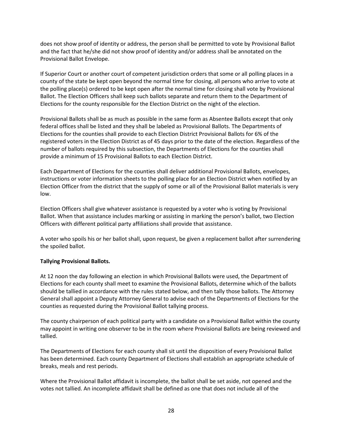does not show proof of identity or address, the person shall be permitted to vote by Provisional Ballot and the fact that he/she did not show proof of identity and/or address shall be annotated on the Provisional Ballot Envelope.

If Superior Court or another court of competent jurisdiction orders that some or all polling places in a county of the state be kept open beyond the normal time for closing, all persons who arrive to vote at the polling place(s) ordered to be kept open after the normal time for closing shall vote by Provisional Ballot. The Election Officers shall keep such ballots separate and return them to the Department of Elections for the county responsible for the Election District on the night of the election.

Provisional Ballots shall be as much as possible in the same form as Absentee Ballots except that only federal offices shall be listed and they shall be labeled as Provisional Ballots. The Departments of Elections for the counties shall provide to each Election District Provisional Ballots for 6% of the registered voters in the Election District as of 45 days prior to the date of the election. Regardless of the number of ballots required by this subsection, the Departments of Elections for the counties shall provide a minimum of 15 Provisional Ballots to each Election District.

Each Department of Elections for the counties shall deliver additional Provisional Ballots, envelopes, instructions or voter information sheets to the polling place for an Election District when notified by an Election Officer from the district that the supply of some or all of the Provisional Ballot materials is very low.

Election Officers shall give whatever assistance is requested by a voter who is voting by Provisional Ballot. When that assistance includes marking or assisting in marking the person's ballot, two Election Officers with different political party affiliations shall provide that assistance.

A voter who spoils his or her ballot shall, upon request, be given a replacement ballot after surrendering the spoiled ballot.

#### **Tallying Provisional Ballots.**

At 12 noon the day following an election in which Provisional Ballots were used, the Department of Elections for each county shall meet to examine the Provisional Ballots, determine which of the ballots should be tallied in accordance with the rules stated below, and then tally those ballots. The Attorney General shall appoint a Deputy Attorney General to advise each of the Departments of Elections for the counties as requested during the Provisional Ballot tallying process.

The county chairperson of each political party with a candidate on a Provisional Ballot within the county may appoint in writing one observer to be in the room where Provisional Ballots are being reviewed and tallied.

The Departments of Elections for each county shall sit until the disposition of every Provisional Ballot has been determined. Each county Department of Elections shall establish an appropriate schedule of breaks, meals and rest periods.

Where the Provisional Ballot affidavit is incomplete, the ballot shall be set aside, not opened and the votes not tallied. An incomplete affidavit shall be defined as one that does not include all of the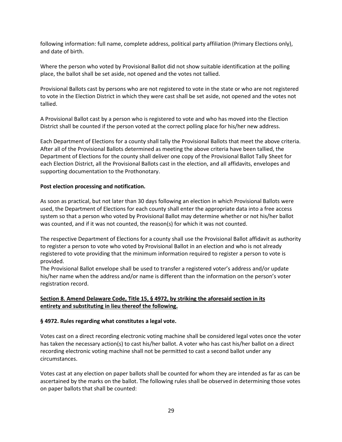following information: full name, complete address, political party affiliation (Primary Elections only), and date of birth.

Where the person who voted by Provisional Ballot did not show suitable identification at the polling place, the ballot shall be set aside, not opened and the votes not tallied.

Provisional Ballots cast by persons who are not registered to vote in the state or who are not registered to vote in the Election District in which they were cast shall be set aside, not opened and the votes not tallied.

A Provisional Ballot cast by a person who is registered to vote and who has moved into the Election District shall be counted if the person voted at the correct polling place for his/her new address.

Each Department of Elections for a county shall tally the Provisional Ballots that meet the above criteria. After all of the Provisional Ballots determined as meeting the above criteria have been tallied, the Department of Elections for the county shall deliver one copy of the Provisional Ballot Tally Sheet for each Election District, all the Provisional Ballots cast in the election, and all affidavits, envelopes and supporting documentation to the Prothonotary.

#### **Post election processing and notification.**

As soon as practical, but not later than 30 days following an election in which Provisional Ballots were used, the Department of Elections for each county shall enter the appropriate data into a free access system so that a person who voted by Provisional Ballot may determine whether or not his/her ballot was counted, and if it was not counted, the reason(s) for which it was not counted.

The respective Department of Elections for a county shall use the Provisional Ballot affidavit as authority to register a person to vote who voted by Provisional Ballot in an election and who is not already registered to vote providing that the minimum information required to register a person to vote is provided.

The Provisional Ballot envelope shall be used to transfer a registered voter's address and/or update his/her name when the address and/or name is different than the information on the person's voter registration record.

#### **Section 8. Amend Delaware Code, Title 15, § 4972, by striking the aforesaid section in its entirety and substituting in lieu thereof the following.**

#### **§ 4972. Rules regarding what constitutes a legal vote.**

Votes cast on a direct recording electronic voting machine shall be considered legal votes once the voter has taken the necessary action(s) to cast his/her ballot. A voter who has cast his/her ballot on a direct recording electronic voting machine shall not be permitted to cast a second ballot under any circumstances.

Votes cast at any election on paper ballots shall be counted for whom they are intended as far as can be ascertained by the marks on the ballot. The following rules shall be observed in determining those votes on paper ballots that shall be counted: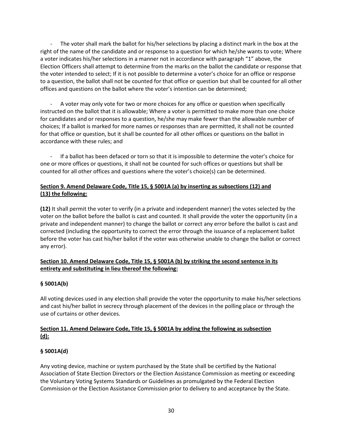The voter shall mark the ballot for his/her selections by placing a distinct mark in the box at the right of the name of the candidate and or response to a question for which he/she wants to vote; Where a voter indicates his/her selections in a manner not in accordance with paragraph "1" above, the Election Officers shall attempt to determine from the marks on the ballot the candidate or response that the voter intended to select; If it is not possible to determine a voter's choice for an office or response to a question, the ballot shall not be counted for that office or question but shall be counted for all other offices and questions on the ballot where the voter's intention can be determined;

A voter may only vote for two or more choices for any office or question when specifically instructed on the ballot that it is allowable; Where a voter is permitted to make more than one choice for candidates and or responses to a question, he/she may make fewer than the allowable number of choices; If a ballot is marked for more names or responses than are permitted, it shall not be counted for that office or question, but it shall be counted for all other offices or questions on the ballot in accordance with these rules; and

If a ballot has been defaced or torn so that it is impossible to determine the voter's choice for one or more offices or questions, it shall not be counted for such offices or questions but shall be counted for all other offices and questions where the voter's choice(s) can be determined.

#### **Section 9. Amend Delaware Code, Title 15, § 5001A (a) by inserting as subsections (12) and (13) the following:**

**(12)** It shall permit the voter to verify (in a private and independent manner) the votes selected by the voter on the ballot before the ballot is cast and counted. It shall provide the voter the opportunity (in a private and independent manner) to change the ballot or correct any error before the ballot is cast and corrected (including the opportunity to correct the error through the issuance of a replacement ballot before the voter has cast his/her ballot if the voter was otherwise unable to change the ballot or correct any error).

#### **Section 10. Amend Delaware Code, Title 15, § 5001A (b) by striking the second sentence in its entirety and substituting in lieu thereof the following:**

#### **§ 5001A(b)**

All voting devices used in any election shall provide the voter the opportunity to make his/her selections and cast his/her ballot in secrecy through placement of the devices in the polling place or through the use of curtains or other devices.

#### **Section 11. Amend Delaware Code, Title 15, § 5001A by adding the following as subsection (d):**

#### **§ 5001A(d)**

Any voting device, machine or system purchased by the State shall be certified by the National Association of State Election Directors or the Election Assistance Commission as meeting or exceeding the Voluntary Voting Systems Standards or Guidelines as promulgated by the Federal Election Commission or the Election Assistance Commission prior to delivery to and acceptance by the State.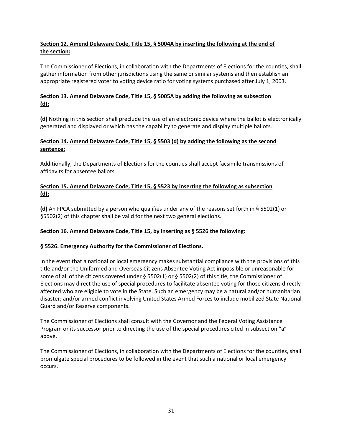#### **Section 12. Amend Delaware Code, Title 15, § 5004A by inserting the following at the end of the section:**

The Commissioner of Elections, in collaboration with the Departments of Elections for the counties, shall gather information from other jurisdictions using the same or similar systems and then establish an appropriate registered voter to voting device ratio for voting systems purchased after July 1, 2003.

#### **Section 13. Amend Delaware Code, Title 15, § 5005A by adding the following as subsection (d):**

**(d)** Nothing in this section shall preclude the use of an electronic device where the ballot is electronically generated and displayed or which has the capability to generate and display multiple ballots.

#### **Section 14. Amend Delaware Code, Title 15, § 5503 (d) by adding the following as the second sentence:**

Additionally, the Departments of Elections for the counties shall accept facsimile transmissions of affidavits for absentee ballots.

#### **Section 15. Amend Delaware Code, Title 15, § 5523 by inserting the following as subsection (d):**

**(d)** An FPCA submitted by a person who qualifies under any of the reasons set forth in § 5502(1) or §5502(2) of this chapter shall be valid for the next two general elections.

#### **Section 16. Amend Delaware Code, Title 15, by inserting as § 5526 the following:**

#### **§ 5526. Emergency Authority for the Commissioner of Elections.**

In the event that a national or local emergency makes substantial compliance with the provisions of this title and/or the Uniformed and Overseas Citizens Absentee Voting Act impossible or unreasonable for some of all of the citizens covered under § 5502(1) or § 5502(2) of this title, the Commissioner of Elections may direct the use of special procedures to facilitate absentee voting for those citizens directly affected who are eligible to vote in the State. Such an emergency may be a natural and/or humanitarian disaster; and/or armed conflict involving United States Armed Forces to include mobilized State National Guard and/or Reserve components.

The Commissioner of Elections shall consult with the Governor and the Federal Voting Assistance Program or its successor prior to directing the use of the special procedures cited in subsection "a" above.

The Commissioner of Elections, in collaboration with the Departments of Elections for the counties, shall promulgate special procedures to be followed in the event that such a national or local emergency occurs.